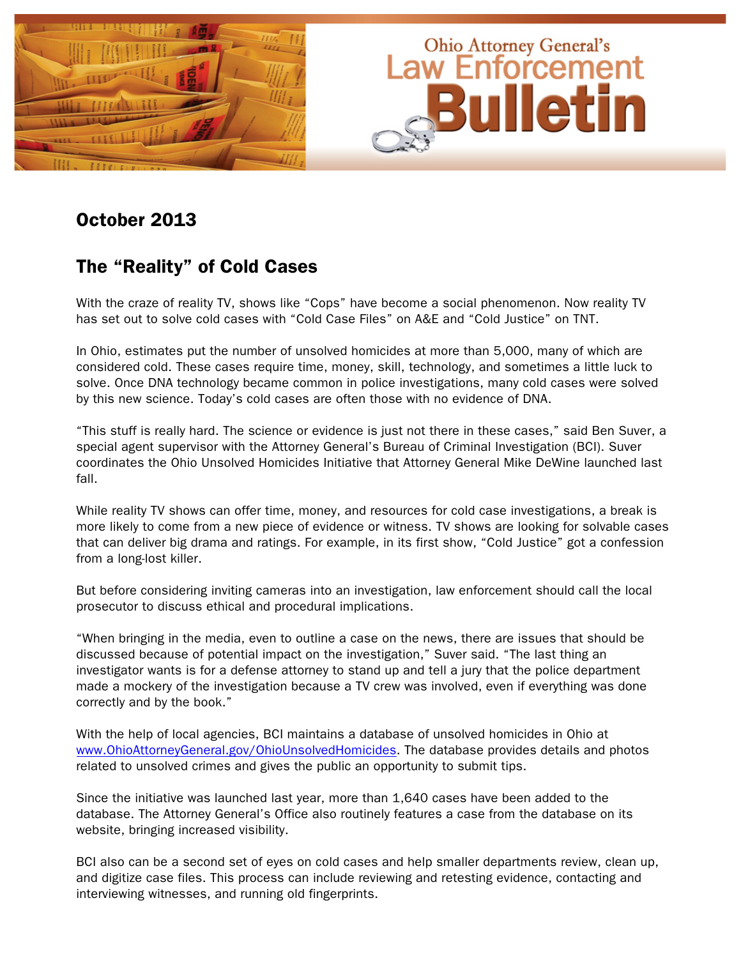

# October 2013

### The "Reality" of Cold Cases

With the craze of reality TV, shows like "Cops" have become a social phenomenon. Now reality TV has set out to solve cold cases with "Cold Case Files" on A&E and "Cold Justice" on TNT.

In Ohio, estimates put the number of unsolved homicides at more than 5,000, many of which are considered cold. These cases require time, money, skill, technology, and sometimes a little luck to solve. Once DNA technology became common in police investigations, many cold cases were solved by this new science. Today's cold cases are often those with no evidence of DNA.

"This stuff is really hard. The science or evidence is just not there in these cases," said Ben Suver, a special agent supervisor with the Attorney General's Bureau of Criminal Investigation (BCI). Suver coordinates the Ohio Unsolved Homicides Initiative that Attorney General Mike DeWine launched last fall.

While reality TV shows can offer time, money, and resources for cold case investigations, a break is more likely to come from a new piece of evidence or witness. TV shows are looking for solvable cases that can deliver big drama and ratings. For example, in its first show, "Cold Justice" got a confession from a long-lost killer.

But before considering inviting cameras into an investigation, law enforcement should call the local prosecutor to discuss ethical and procedural implications.

"When bringing in the media, even to outline a case on the news, there are issues that should be discussed because of potential impact on the investigation," Suver said. "The last thing an investigator wants is for a defense attorney to stand up and tell a jury that the police department made a mockery of the investigation because a TV crew was involved, even if everything was done correctly and by the book."

With the help of local agencies, BCI maintains a database of unsolved homicides in Ohio at [www.OhioAttorneyGeneral.gov/OhioUnsolvedHomicides.](http://www.OhioAttorneyGeneral.gov/OhioUnsolvedHomicides) The database provides details and photos related to unsolved crimes and gives the public an opportunity to submit tips.

Since the initiative was launched last year, more than 1,640 cases have been added to the database. The Attorney General's Office also routinely features a case from the database on its website, bringing increased visibility.

BCI also can be a second set of eyes on cold cases and help smaller departments review, clean up, and digitize case files. This process can include reviewing and retesting evidence, contacting and interviewing witnesses, and running old fingerprints.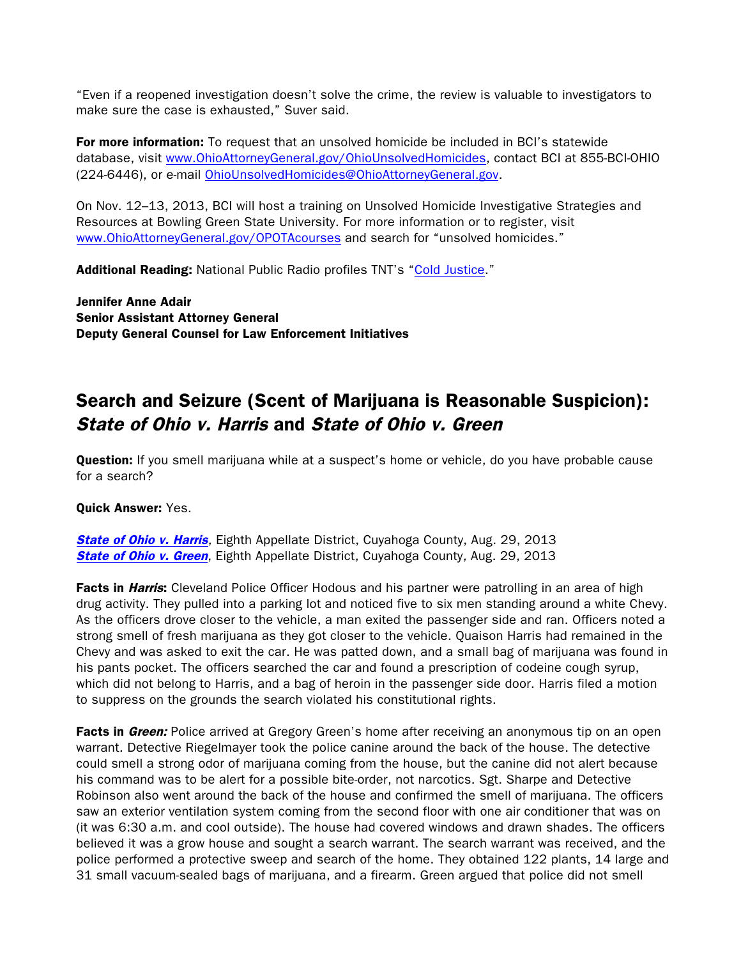"Even if a reopened investigation doesn't solve the crime, the review is valuable to investigators to make sure the case is exhausted," Suver said.

For more information: To request that an unsolved homicide be included in BCI's statewide database, visit [www.OhioAttorneyGeneral.gov/OhioUnsolvedHomicides,](http://www.OhioAttorneyGeneral.gov/OhioUnsolvedHomicides) contact BCI at 855-BCI-OHIO (224-6446), or e-mail [OhioUnsolvedHomicides@OhioAttorneyGeneral.gov](mailto:OhioUnsolvedHomicides@OhioAttorneyGeneral.gov).

On Nov. 12–13, 2013, BCI will host a training on Unsolved Homicide Investigative Strategies and Resources at Bowling Green State University. For more information or to register, visit [www.OhioAttorneyGeneral.gov/OPOTAcourses](http://www.OhioAttorneyGeneral.gov/OPOTAcourses) and search for "unsolved homicides."

**Additional Reading:** National Public Radio profiles TNT's ["Cold Justice."](http://www.npr.org/2013/09/01/216844837/cold-justice-is-coming-to-a-small-town-and-tv-near-you)

Jennifer Anne Adair Senior Assistant Attorney General Deputy General Counsel for Law Enforcement Initiatives

# Search and Seizure (Scent of Marijuana is Reasonable Suspicion): State of Ohio v. Harris and State of Ohio v. Green

**Question:** If you smell marijuana while at a suspect's home or vehicle, do you have probable cause for a search?

#### Quick Answer: Yes.

**[State of Ohio v. Harris](http://www.sconet.state.oh.us/rod/docs/pdf/8/2013/2013-ohio-3735.pdf), Eighth Appellate District, Cuyahoga County, Aug. 29, 2013 [State of Ohio v. Green](http://www.sconet.state.oh.us/rod/docs/pdf/8/2013/2013-ohio-3728.pdf), Eighth Appellate District, Cuyahoga County, Aug. 29, 2013** 

Facts in Harris: Cleveland Police Officer Hodous and his partner were patrolling in an area of high drug activity. They pulled into a parking lot and noticed five to six men standing around a white Chevy. As the officers drove closer to the vehicle, a man exited the passenger side and ran. Officers noted a strong smell of fresh marijuana as they got closer to the vehicle. Quaison Harris had remained in the Chevy and was asked to exit the car. He was patted down, and a small bag of marijuana was found in his pants pocket. The officers searched the car and found a prescription of codeine cough syrup, which did not belong to Harris, and a bag of heroin in the passenger side door. Harris filed a motion to suppress on the grounds the search violated his constitutional rights.

Facts in Green: Police arrived at Gregory Green's home after receiving an anonymous tip on an open warrant. Detective Riegelmayer took the police canine around the back of the house. The detective could smell a strong odor of marijuana coming from the house, but the canine did not alert because his command was to be alert for a possible bite-order, not narcotics. Sgt. Sharpe and Detective Robinson also went around the back of the house and confirmed the smell of marijuana. The officers saw an exterior ventilation system coming from the second floor with one air conditioner that was on (it was 6:30 a.m. and cool outside). The house had covered windows and drawn shades. The officers believed it was a grow house and sought a search warrant. The search warrant was received, and the police performed a protective sweep and search of the home. They obtained 122 plants, 14 large and 31 small vacuum-sealed bags of marijuana, and a firearm. Green argued that police did not smell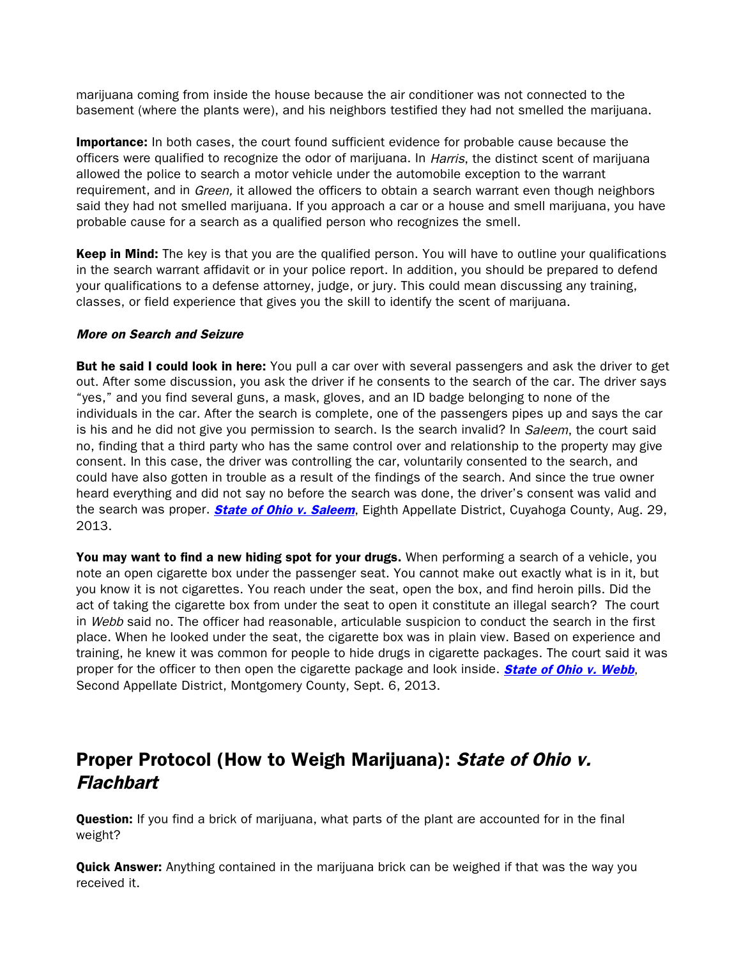marijuana coming from inside the house because the air conditioner was not connected to the basement (where the plants were), and his neighbors testified they had not smelled the marijuana.

**Importance:** In both cases, the court found sufficient evidence for probable cause because the officers were qualified to recognize the odor of marijuana. In Harris, the distinct scent of marijuana allowed the police to search a motor vehicle under the automobile exception to the warrant requirement, and in *Green*, it allowed the officers to obtain a search warrant even though neighbors said they had not smelled marijuana. If you approach a car or a house and smell marijuana, you have probable cause for a search as a qualified person who recognizes the smell.

**Keep in Mind:** The key is that you are the qualified person. You will have to outline your qualifications in the search warrant affidavit or in your police report. In addition, you should be prepared to defend your qualifications to a defense attorney, judge, or jury. This could mean discussing any training, classes, or field experience that gives you the skill to identify the scent of marijuana.

#### More on Search and Seizure

But he said I could look in here: You pull a car over with several passengers and ask the driver to get out. After some discussion, you ask the driver if he consents to the search of the car. The driver says "yes," and you find several guns, a mask, gloves, and an ID badge belonging to none of the individuals in the car. After the search is complete, one of the passengers pipes up and says the car is his and he did not give you permission to search. Is the search invalid? In Saleem, the court said no, finding that a third party who has the same control over and relationship to the property may give consent. In this case, the driver was controlling the car, voluntarily consented to the search, and could have also gotten in trouble as a result of the findings of the search. And since the true owner heard everything and did not say no before the search was done, the driver's consent was valid and the search was proper. **[State of Ohio v. Saleem](http://www.sconet.state.oh.us/rod/docs/pdf/8/2013/2013-ohio-3732.pdf)**, Eighth Appellate District, Cuyahoga County, Aug. 29, 2013.

You may want to find a new hiding spot for your drugs. When performing a search of a vehicle, you note an open cigarette box under the passenger seat. You cannot make out exactly what is in it, but you know it is not cigarettes. You reach under the seat, open the box, and find heroin pills. Did the act of taking the cigarette box from under the seat to open it constitute an illegal search? The court in Webb said no. The officer had reasonable, articulable suspicion to conduct the search in the first place. When he looked under the seat, the cigarette box was in plain view. Based on experience and training, he knew it was common for people to hide drugs in cigarette packages. The court said it was proper for the officer to then open the cigarette package and look inside. **[State of Ohio v. Webb](http://www.sconet.state.oh.us/rod/docs/pdf/2/2013/2013-ohio-3844.pdf)**, Second Appellate District, Montgomery County, Sept. 6, 2013.

# Proper Protocol (How to Weigh Marijuana): State of Ohio v. **Flachbart**

**Question:** If you find a brick of marijuana, what parts of the plant are accounted for in the final weight?

**Quick Answer:** Anything contained in the marijuana brick can be weighed if that was the way you received it.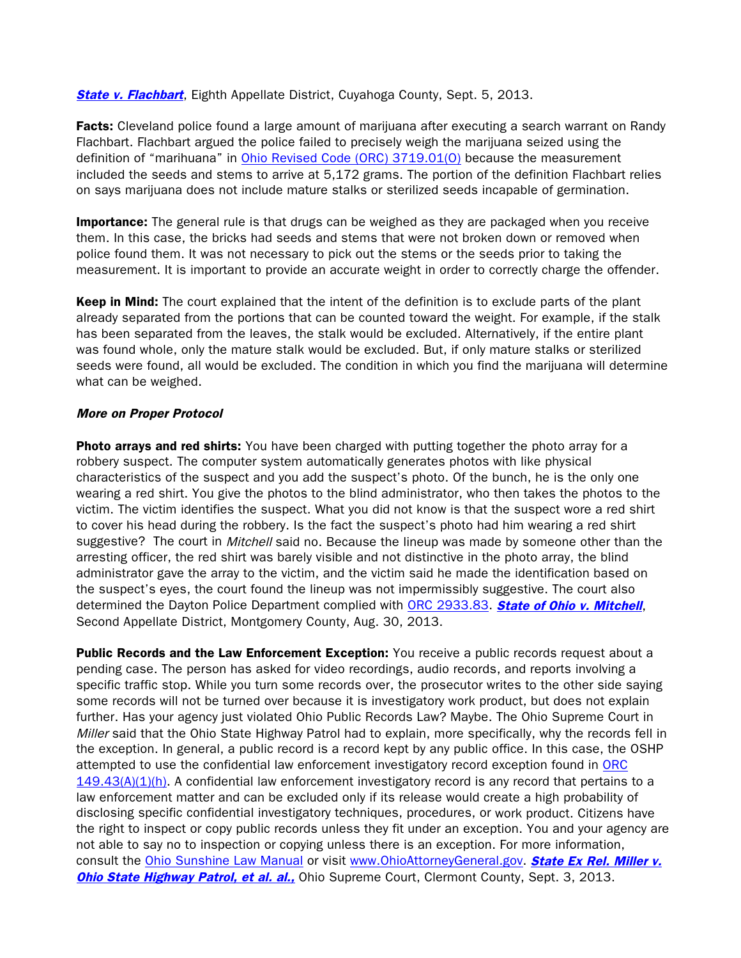**[State v. Flachbart](http://www.sconet.state.oh.us/rod/docs/pdf/8/2013/2013-ohio-3807.pdf)**, Eighth Appellate District, Cuyahoga County, Sept. 5, 2013.

Facts: Cleveland police found a large amount of marijuana after executing a search warrant on Randy Flachbart. Flachbart argued the police failed to precisely weigh the marijuana seized using the definition of "marihuana" in [Ohio Revised Code \(ORC\) 3719.01\(O\)](http://codes.ohio.gov/orc/3719.01) because the measurement included the seeds and stems to arrive at 5,172 grams. The portion of the definition Flachbart relies on says marijuana does not include mature stalks or sterilized seeds incapable of germination.

**Importance:** The general rule is that drugs can be weighed as they are packaged when you receive them. In this case, the bricks had seeds and stems that were not broken down or removed when police found them. It was not necessary to pick out the stems or the seeds prior to taking the measurement. It is important to provide an accurate weight in order to correctly charge the offender.

Keep in Mind: The court explained that the intent of the definition is to exclude parts of the plant already separated from the portions that can be counted toward the weight. For example, if the stalk has been separated from the leaves, the stalk would be excluded. Alternatively, if the entire plant was found whole, only the mature stalk would be excluded. But, if only mature stalks or sterilized seeds were found, all would be excluded. The condition in which you find the marijuana will determine what can be weighed.

#### More on Proper Protocol

Photo arrays and red shirts: You have been charged with putting together the photo array for a robbery suspect. The computer system automatically generates photos with like physical characteristics of the suspect and you add the suspect's photo. Of the bunch, he is the only one wearing a red shirt. You give the photos to the blind administrator, who then takes the photos to the victim. The victim identifies the suspect. What you did not know is that the suspect wore a red shirt to cover his head during the robbery. Is the fact the suspect's photo had him wearing a red shirt suggestive? The court in *Mitchell* said no. Because the lineup was made by someone other than the arresting officer, the red shirt was barely visible and not distinctive in the photo array, the blind administrator gave the array to the victim, and the victim said he made the identification based on the suspect's eyes, the court found the lineup was not impermissibly suggestive. The court also determined the Dayton Police Department complied with [ORC 2933.83.](http://codes.ohio.gov/orc/2933.83) [State of Ohio v. Mitchell](http://www.sconet.state.oh.us/rod/docs/pdf/2/2013/2013-ohio-3761.pdf), Second Appellate District, Montgomery County, Aug. 30, 2013.

Public Records and the Law Enforcement Exception: You receive a public records request about a pending case. The person has asked for video recordings, audio records, and reports involving a specific traffic stop. While you turn some records over, the prosecutor writes to the other side saying some records will not be turned over because it is investigatory work product, but does not explain further. Has your agency just violated Ohio Public Records Law? Maybe. The Ohio Supreme Court in Miller said that the Ohio State Highway Patrol had to explain, more specifically, why the records fell in the exception. In general, a public record is a record kept by any public office. In this case, the OSHP attempted to use the confidential law enforcement investigatory record exception found in [ORC](http://codes.ohio.gov/orc/149.43)   $149.43(A)(1)(h)$ . A confidential law enforcement investigatory record is any record that pertains to a law enforcement matter and can be excluded only if its release would create a high probability of disclosing specific confidential investigatory techniques, procedures, or work product. Citizens have the right to inspect or copy public records unless they fit under an exception. You and your agency are not able to say no to inspection or copying unless there is an exception. For more information, consult the [Ohio Sunshine Law Manual](http://www.ohioattorneygeneral.gov/OhioAttorneyGeneral/files/31/316d7da7-cbb3-47ac-8dba-2bb9d5bb7ab6.pdf) or visit [www.OhioAttorneyGeneral.gov.](http://www.OhioAttorneyGeneral.gov) **State Ex Rel. Miller v. [Ohio State Highway Patrol, et al. al.,](http://www.sconet.state.oh.us/rod/docs/pdf/0/2013/2013-ohio-3720.pdf)** Ohio Supreme Court, Clermont County, Sept. 3, 2013.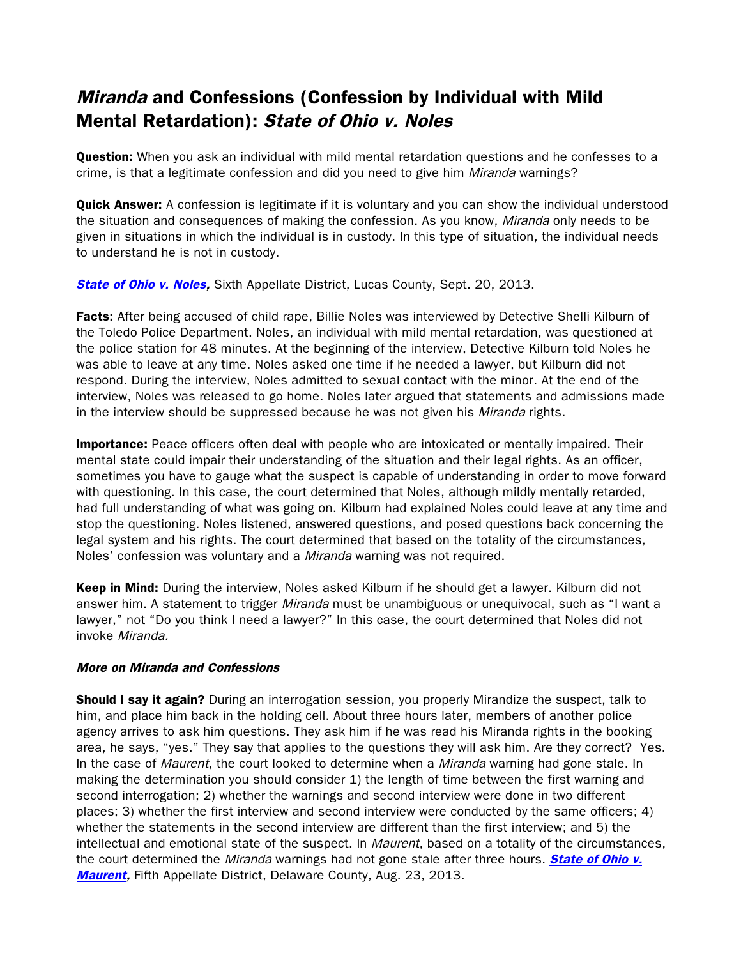# Miranda and Confessions (Confession by Individual with Mild Mental Retardation): State of Ohio v. Noles

**Question:** When you ask an individual with mild mental retardation questions and he confesses to a crime, is that a legitimate confession and did you need to give him Miranda warnings?

**Quick Answer:** A confession is legitimate if it is voluntary and you can show the individual understood the situation and consequences of making the confession. As you know, *Miranda* only needs to be given in situations in which the individual is in custody. In this type of situation, the individual needs to understand he is not in custody.

**[State of Ohio v. Noles,](http://www.sconet.state.oh.us/rod/docs/pdf/6/2013/2013-ohio-4088.pdf)** Sixth Appellate District, Lucas County, Sept. 20, 2013.

Facts: After being accused of child rape, Billie Noles was interviewed by Detective Shelli Kilburn of the Toledo Police Department. Noles, an individual with mild mental retardation, was questioned at the police station for 48 minutes. At the beginning of the interview, Detective Kilburn told Noles he was able to leave at any time. Noles asked one time if he needed a lawyer, but Kilburn did not respond. During the interview, Noles admitted to sexual contact with the minor. At the end of the interview, Noles was released to go home. Noles later argued that statements and admissions made in the interview should be suppressed because he was not given his Miranda rights.

**Importance:** Peace officers often deal with people who are intoxicated or mentally impaired. Their mental state could impair their understanding of the situation and their legal rights. As an officer, sometimes you have to gauge what the suspect is capable of understanding in order to move forward with questioning. In this case, the court determined that Noles, although mildly mentally retarded, had full understanding of what was going on. Kilburn had explained Noles could leave at any time and stop the questioning. Noles listened, answered questions, and posed questions back concerning the legal system and his rights. The court determined that based on the totality of the circumstances, Noles' confession was voluntary and a *Miranda* warning was not required.

Keep in Mind: During the interview, Noles asked Kilburn if he should get a lawyer. Kilburn did not answer him. A statement to trigger *Miranda* must be unambiguous or unequivocal, such as "I want a lawyer," not "Do you think I need a lawyer?" In this case, the court determined that Noles did not invoke Miranda.

#### More on Miranda and Confessions

Should I say it again? During an interrogation session, you properly Mirandize the suspect, talk to him, and place him back in the holding cell. About three hours later, members of another police agency arrives to ask him questions. They ask him if he was read his Miranda rights in the booking area, he says, "yes." They say that applies to the questions they will ask him. Are they correct? Yes. In the case of Maurent, the court looked to determine when a Miranda warning had gone stale. In making the determination you should consider 1) the length of time between the first warning and second interrogation; 2) whether the warnings and second interview were done in two different places; 3) whether the first interview and second interview were conducted by the same officers; 4) whether the statements in the second interview are different than the first interview; and 5) the intellectual and emotional state of the suspect. In *Maurent*, based on a totality of the circumstances, the court determined the *Miranda* warnings had not gone stale after three hours. **State of Ohio v. [Maurent,](http://www.sconet.state.oh.us/rod/docs/pdf/5/2013/2013-ohio-3799.pdf)** Fifth Appellate District, Delaware County, Aug. 23, 2013.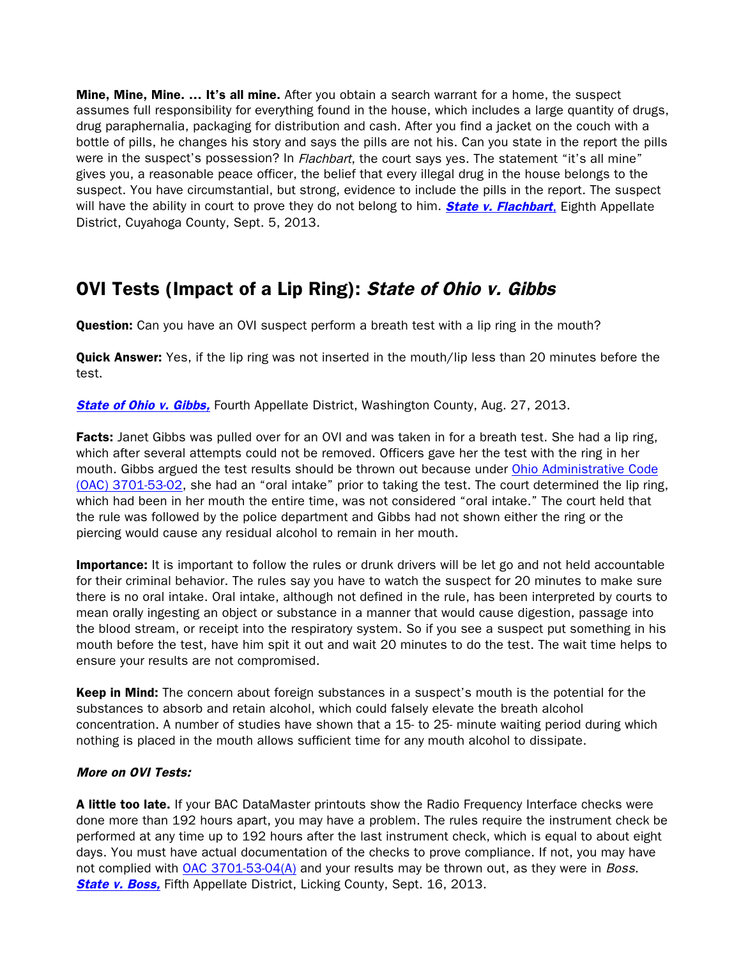**Mine, Mine, Mine. ... It's all mine.** After you obtain a search warrant for a home, the suspect assumes full responsibility for everything found in the house, which includes a large quantity of drugs, drug paraphernalia, packaging for distribution and cash. After you find a jacket on the couch with a bottle of pills, he changes his story and says the pills are not his. Can you state in the report the pills were in the suspect's possession? In *Flachbart*, the court says yes. The statement "it's all mine" gives you, a reasonable peace officer, the belief that every illegal drug in the house belongs to the suspect. You have circumstantial, but strong, evidence to include the pills in the report. The suspect will have the ability in court to prove they do not belong to him. **[State v. Flachbart](http://www.sconet.state.oh.us/rod/docs/pdf/8/2013/2013-ohio-3807.pdf)**, Eighth Appellate District, Cuyahoga County, Sept. 5, 2013.

### OVI Tests (Impact of a Lip Ring): State of Ohio v. Gibbs

**Question:** Can you have an OVI suspect perform a breath test with a lip ring in the mouth?

**Quick Answer:** Yes, if the lip ring was not inserted in the mouth/lip less than 20 minutes before the test.

**[State of Ohio v. Gibbs,](http://www.sconet.state.oh.us/rod/docs/pdf/4/2013/2013-ohio-3820.pdf)** Fourth Appellate District, Washington County, Aug. 27, 2013.

Facts: Janet Gibbs was pulled over for an OVI and was taken in for a breath test. She had a lip ring, which after several attempts could not be removed. Officers gave her the test with the ring in her mouth. Gibbs argued the test results should be thrown out because under [Ohio Administrative Code](http://codes.ohio.gov/oac/3701-53-02)  [\(OAC\) 3701-53-02,](http://codes.ohio.gov/oac/3701-53-02) she had an "oral intake" prior to taking the test. The court determined the lip ring, which had been in her mouth the entire time, was not considered "oral intake." The court held that the rule was followed by the police department and Gibbs had not shown either the ring or the piercing would cause any residual alcohol to remain in her mouth.

**Importance:** It is important to follow the rules or drunk drivers will be let go and not held accountable for their criminal behavior. The rules say you have to watch the suspect for 20 minutes to make sure there is no oral intake. Oral intake, although not defined in the rule, has been interpreted by courts to mean orally ingesting an object or substance in a manner that would cause digestion, passage into the blood stream, or receipt into the respiratory system. So if you see a suspect put something in his mouth before the test, have him spit it out and wait 20 minutes to do the test. The wait time helps to ensure your results are not compromised.

**Keep in Mind:** The concern about foreign substances in a suspect's mouth is the potential for the substances to absorb and retain alcohol, which could falsely elevate the breath alcohol concentration. A number of studies have shown that a 15- to 25- minute waiting period during which nothing is placed in the mouth allows sufficient time for any mouth alcohol to dissipate.

### More on OVI Tests:

A little too late. If your BAC DataMaster printouts show the Radio Frequency Interface checks were done more than 192 hours apart, you may have a problem. The rules require the instrument check be performed at any time up to 192 hours after the last instrument check, which is equal to about eight days. You must have actual documentation of the checks to prove compliance. If not, you may have not complied with [OAC 3701-53-04\(A\)](http://codes.ohio.gov/oac/3701-53-04) and your results may be thrown out, as they were in *Boss*. **[State v. Boss,](http://www.sconet.state.oh.us/rod/docs/pdf/5/2013/2013-ohio-4005.pdf)** Fifth Appellate District, Licking County, Sept. 16, 2013.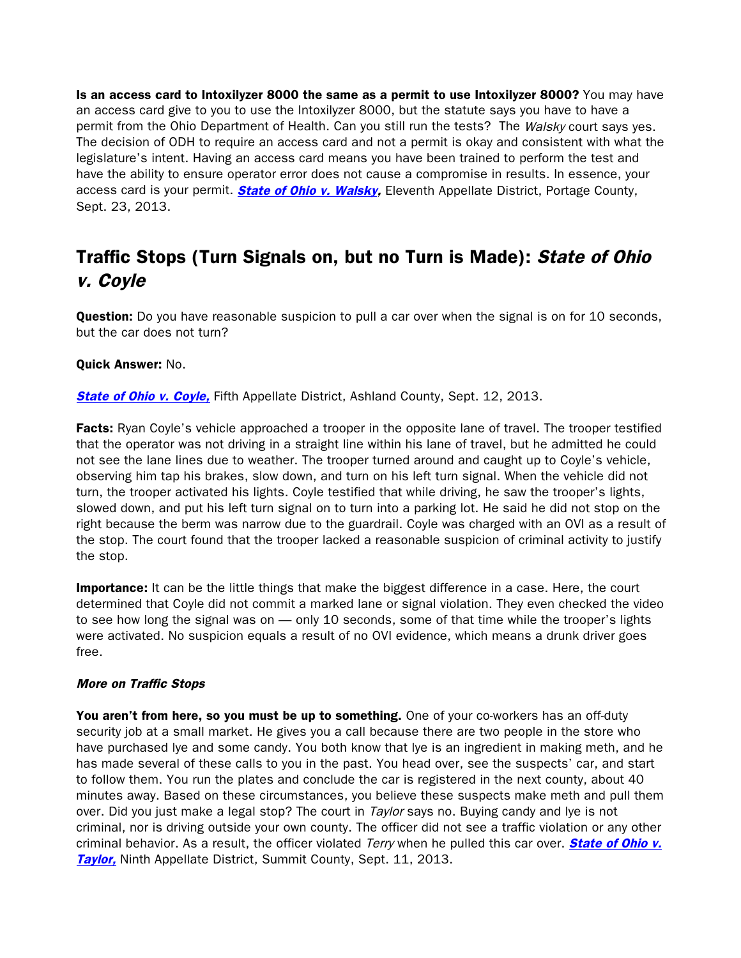Is an access card to Intoxilyzer 8000 the same as a permit to use Intoxilyzer 8000? You may have an access card give to you to use the Intoxilyzer 8000, but the statute says you have to have a permit from the Ohio Department of Health. Can you still run the tests? The Walsky court says yes. The decision of ODH to require an access card and not a permit is okay and consistent with what the legislature's intent. Having an access card means you have been trained to perform the test and have the ability to ensure operator error does not cause a compromise in results. In essence, your access card is your permit. **[State of Ohio v.](http://www.sconet.state.oh.us/rod/docs/pdf/11/2013/2013-ohio-4115.pdf) Walsky,** Eleventh Appellate District, Portage County, Sept. 23, 2013.

# Traffic Stops (Turn Signals on, but no Turn is Made): State of Ohio v. Coyle

Question: Do you have reasonable suspicion to pull a car over when the signal is on for 10 seconds, but the car does not turn?

#### Quick Answer: No.

**[State of Ohio v. Coyle,](http://www.sconet.state.oh.us/rod/docs/pdf/5/2013/2013-ohio-4017.pdf)** Fifth Appellate District, Ashland County, Sept. 12, 2013.

**Facts:** Ryan Coyle's vehicle approached a trooper in the opposite lane of travel. The trooper testified that the operator was not driving in a straight line within his lane of travel, but he admitted he could not see the lane lines due to weather. The trooper turned around and caught up to Coyle's vehicle, observing him tap his brakes, slow down, and turn on his left turn signal. When the vehicle did not turn, the trooper activated his lights. Coyle testified that while driving, he saw the trooper's lights, slowed down, and put his left turn signal on to turn into a parking lot. He said he did not stop on the right because the berm was narrow due to the guardrail. Coyle was charged with an OVI as a result of the stop. The court found that the trooper lacked a reasonable suspicion of criminal activity to justify the stop.

**Importance:** It can be the little things that make the biggest difference in a case. Here, the court determined that Coyle did not commit a marked lane or signal violation. They even checked the video to see how long the signal was on — only 10 seconds, some of that time while the trooper's lights were activated. No suspicion equals a result of no OVI evidence, which means a drunk driver goes free.

#### More on Traffic Stops

You aren't from here, so you must be up to something. One of your co-workers has an off-duty security job at a small market. He gives you a call because there are two people in the store who have purchased lye and some candy. You both know that lye is an ingredient in making meth, and he has made several of these calls to you in the past. You head over, see the suspects' car, and start to follow them. You run the plates and conclude the car is registered in the next county, about 40 minutes away. Based on these circumstances, you believe these suspects make meth and pull them over. Did you just make a legal stop? The court in Taylor says no. Buying candy and lye is not criminal, nor is driving outside your own county. The officer did not see a traffic violation or any other criminal behavior. As a result, the officer violated Terry when he pulled this car over. **State of Ohio v. [Taylor,](http://www.sconet.state.oh.us/rod/docs/pdf/9/2013/2013-ohio-3906.pdf)** Ninth Appellate District, Summit County, Sept. 11, 2013.